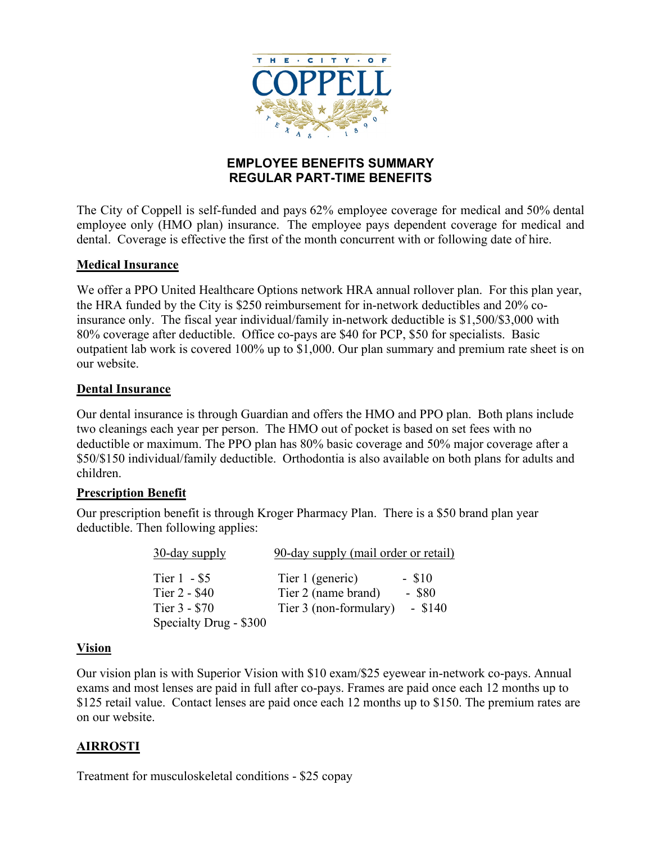

### **EMPLOYEE BENEFITS SUMMARY REGULAR PART-TIME BENEFITS**

The City of Coppell is self-funded and pays 62% employee coverage for medical and 50% dental employee only (HMO plan) insurance. The employee pays dependent coverage for medical and dental. Coverage is effective the first of the month concurrent with or following date of hire.

#### **Medical Insurance**

We offer a PPO United Healthcare Options network HRA annual rollover plan. For this plan year, the HRA funded by the City is \$250 reimbursement for in-network deductibles and 20% coinsurance only. The fiscal year individual/family in-network deductible is \$1,500/\$3,000 with 80% coverage after deductible. Office co-pays are \$40 for PCP, \$50 for specialists. Basic outpatient lab work is covered 100% up to \$1,000. Our plan summary and premium rate sheet is on our website.

#### **Dental Insurance**

Our dental insurance is through Guardian and offers the HMO and PPO plan. Both plans include two cleanings each year per person. The HMO out of pocket is based on set fees with no deductible or maximum. The PPO plan has 80% basic coverage and 50% major coverage after a \$50/\$150 individual/family deductible. Orthodontia is also available on both plans for adults and children.

#### **Prescription Benefit**

Our prescription benefit is through Kroger Pharmacy Plan. There is a \$50 brand plan year deductible. Then following applies:

| 30-day supply                                   | 90-day supply (mail order or retail)                              |                                   |
|-------------------------------------------------|-------------------------------------------------------------------|-----------------------------------|
| Tier $1 - $5$<br>Tier 2 - \$40<br>Tier 3 - \$70 | Tier 1 (generic)<br>Tier 2 (name brand)<br>Tier 3 (non-formulary) | $-$ \$10<br>$-$ \$80<br>$-$ \$140 |
| Specialty Drug - \$300                          |                                                                   |                                   |

#### **Vision**

Our vision plan is with Superior Vision with \$10 exam/\$25 eyewear in-network co-pays. Annual exams and most lenses are paid in full after co-pays. Frames are paid once each 12 months up to \$125 retail value. Contact lenses are paid once each 12 months up to \$150. The premium rates are on our website.

#### **AIRROSTI**

Treatment for musculoskeletal conditions - \$25 copay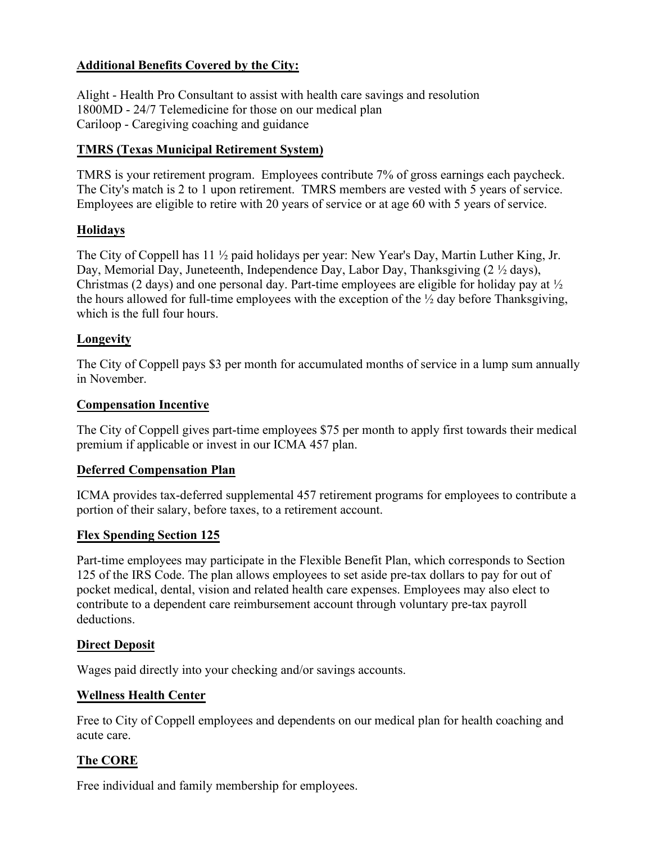# **Additional Benefits Covered by the City:**

Alight - Health Pro Consultant to assist with health care savings and resolution 1800MD - 24/7 Telemedicine for those on our medical plan Cariloop - Caregiving coaching and guidance

## **TMRS (Texas Municipal Retirement System)**

TMRS is your retirement program. Employees contribute 7% of gross earnings each paycheck. The City's match is 2 to 1 upon retirement. TMRS members are vested with 5 years of service. Employees are eligible to retire with 20 years of service or at age 60 with 5 years of service.

### **Holidays**

The City of Coppell has 11 ½ paid holidays per year: New Year's Day, Martin Luther King, Jr. Day, Memorial Day, Juneteenth, Independence Day, Labor Day, Thanksgiving (2  $\frac{1}{2}$  days), Christmas (2 days) and one personal day. Part-time employees are eligible for holiday pay at ½ the hours allowed for full-time employees with the exception of the  $\frac{1}{2}$  day before Thanksgiving, which is the full four hours.

### **Longevity**

The City of Coppell pays \$3 per month for accumulated months of service in a lump sum annually in November.

#### **Compensation Incentive**

The City of Coppell gives part-time employees \$75 per month to apply first towards their medical premium if applicable or invest in our ICMA 457 plan.

#### **Deferred Compensation Plan**

ICMA provides tax-deferred supplemental 457 retirement programs for employees to contribute a portion of their salary, before taxes, to a retirement account.

#### **Flex Spending Section 125**

Part-time employees may participate in the Flexible Benefit Plan, which corresponds to Section 125 of the IRS Code. The plan allows employees to set aside pre-tax dollars to pay for out of pocket medical, dental, vision and related health care expenses. Employees may also elect to contribute to a dependent care reimbursement account through voluntary pre-tax payroll deductions.

#### **Direct Deposit**

Wages paid directly into your checking and/or savings accounts.

#### **Wellness Health Center**

Free to City of Coppell employees and dependents on our medical plan for health coaching and acute care.

# **The CORE**

Free individual and family membership for employees.